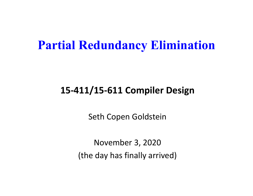#### **Partial Redundancy Elimination**

#### **15‐411/15‐611 Compiler Design**

Seth Copen Goldstein

November 3, 2020 (the day has finally arrived)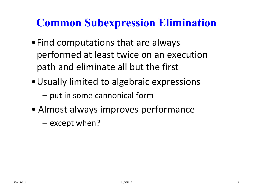#### **Common Subexpression Elimination**

- •Find computations that are always performed at least twice on an execution path and eliminate all but the first
- •Usually limited to algebraic expressions –put in some cannonical form
- Almost always improves performance
	- except when?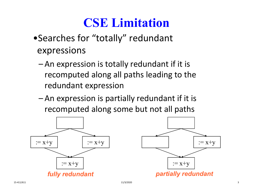# **CSE Limitation**

- •Searches for "totally" redundant expressions
	- An expression is totally redundant if it is recomputed along all paths leading to the redundant expression
	- An expression is partially redundant if it is recomputed along some but not all paths

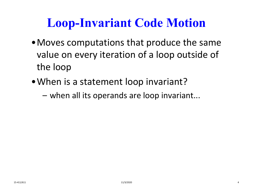# **Loop-Invariant Code Motion**

- •Moves computations that produce the same value on every iteration of <sup>a</sup> loop outside of the loop
- •When is <sup>a</sup> statement loop invariant?
	- when all its operands are loop invariant...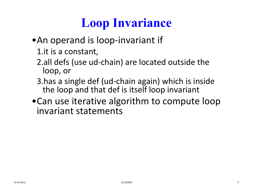# **Loop Invariance**

- •An operand is loop‐invariant if
	- 1.it is a constant,
	- 2.all defs (use ud‐chain) are located outside the loop, or
	- 3.has a single def (ud‐chain again) which is inside the loop and that def is itself loop invariant
- •Can use iterative algorithm to compute loop invariant statements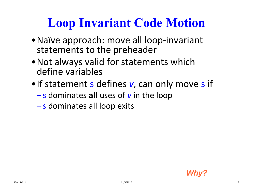# **Loop Invariant Code Motion**

- •Naïve approach: move all loop‐invariant statements to the preheader
- •Not always valid for statements which define variables
- •If statement s defines *<sup>v</sup>*, can only move <sup>s</sup> if
	- s dominates **all** uses of *<sup>v</sup>* in the loop
	- s dominates all loop exits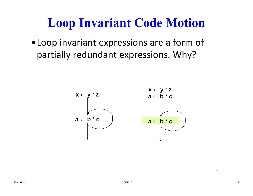## **Loop Invariant Code Motion**

•Loop invariant expressions are <sup>a</sup> form of partially redundant expressions. Why?



**\***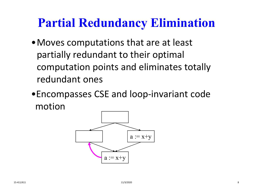## **Partial Redundancy Elimination**

- •Moves computations that are at least partially redundant to their optimal computation points and eliminates totally redundant ones
- •Encompasses CSE and loop‐invariant code motion

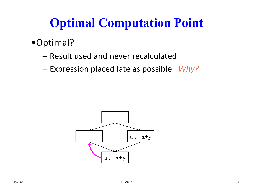# **Optimal Computation Point**

#### •Optimal?

- Result used and never recalculated
- –Expression placed late as possible *Why?*

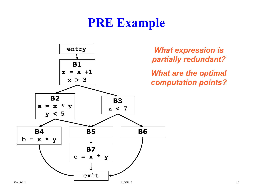

*What expression is partially redundant?*

*What are the optimal computation points?*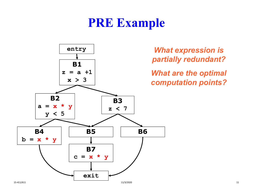

*What expression is partially redundant?*

*What are the optimal computation points?*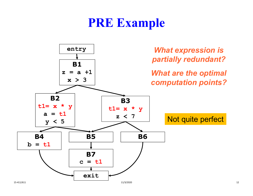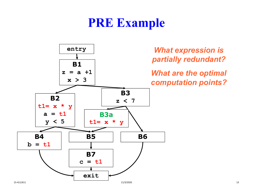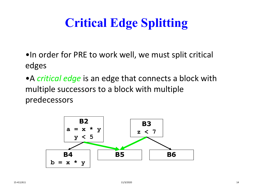# **Critical Edge Splitting**

- •In order for PRE to work well, we must split critical edges
- •A *critical edge* is an edge that connects a block with multiple successors to a block with multiple predecessors

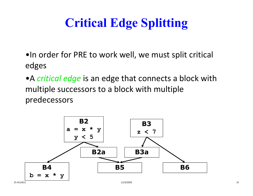# **Critical Edge Splitting**

- •In order for PRE to work well, we must split critical edges
- •A *critical edge* is an edge that connects a block with multiple successors to a block with multiple predecessors

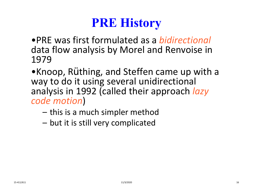# **PRE History**

•PRE was first formulated as <sup>a</sup> *bidirectional* data flow analysis by Morel and Renvoise in 1979

•Knoop, Rüthing, and Steffen came up with <sup>a</sup> way to do it using several unidirectional analysis in 1992 (called their approach *lazy code motion*)

- this is a much simpler method
- but it is still very complicated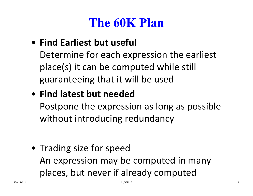# **The 60K Plan**

• **Find Earliest but useful**

Determine for each expression the earliest place(s) it can be computed while still guaranteeing that it will be used

#### • **Find latest but needed**

Postpone the expression as long as possible without introducing redundancy

• Trading size for speed An expression may be computed in many places, but never if already computed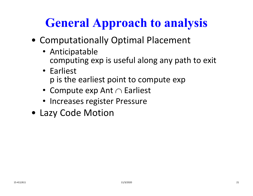# **General Approach to analysis**

- Computationally Optimal Placement
	- Anticipatable computing exp is useful along any path to exit
	- Earliest p is the earliest point to compute exp
	- Compute exp Ant  $\cap$  Earliest
	- Increases register Pressure
- Lazy Code Motion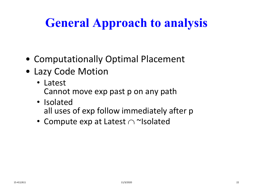# **General Approach to analysis**

- Computationally Optimal Placement
- Lazy Code Motion
	- Latest Cannot move exp past p on any path
	- Isolatedall uses of exp follow immediately after p
	- Compute exp at Latest  $\cap$  ~Isolated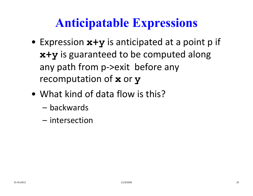# **Anticipatable Expressions**

- Expression **x+y** is anticipated at <sup>a</sup> point p if **x+y** is guaranteed to be computed along any path from p->exit before any recomputation of **<sup>x</sup>** or **y**
- What kind of data flow is this?
	- backwards
	- intersection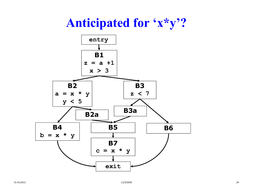

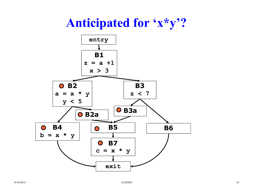

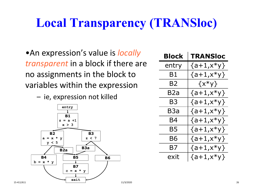## **Local Transparency (TRANSloc)**

•An expression's value is *locally transparent* in a block if there are no assignments in the block to variables within the expression

–ie, expression not killed



| Block | TRANSloc      |
|-------|---------------|
| entry | $\{a+1,x*y\}$ |
| Β1    | $\{a+1,x*y\}$ |
| B2    | $\{x*y\}$     |
| B2a   | $\{a+1,x*y\}$ |
| B3    | $\{a+1,x*y\}$ |
| ВЗа   | $\{a+1,x*y\}$ |
| B4    | $\{a+1,x*y\}$ |
| Β5    | $\{a+1,x*y\}$ |
| Β6    | $\{a+1,x*y\}$ |
| B7    | $\{a+1,x*y\}$ |
| exit  | $\{a+1,x*y\}$ |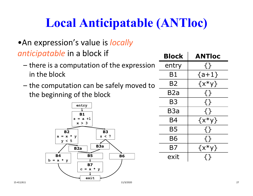# **Local Anticipatable (ANTloc)**

#### •An expression's value is *locally*

*anticipatable* in a block if

- there is a computation of the expression in the block
- the computation can be safely moved to the beginning of the block



| <b>Block</b> | <b>ANTIoc</b> |  |  |
|--------------|---------------|--|--|
| entry        | $\{\}$        |  |  |
| Β1           | ${a+1}$       |  |  |
| B2           | $\{x*y\}$     |  |  |
| B2a          | $\{\}$        |  |  |
| B3           | $\{\}$        |  |  |
| B3a          | $\{\}$        |  |  |
| Β4           | $\{x*y\}$     |  |  |
| B5           | { }           |  |  |
| B6           | $\{\}$        |  |  |
| B7           | $\{x*y\}$     |  |  |
| exit         |               |  |  |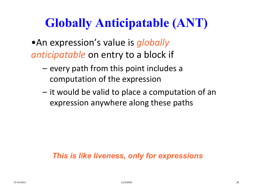# **Globally Anticipatable (ANT)**

•An expression's value is *globally anticipatable* on entry to a block if

- every path from this point includes a computation of the expression
- it would be valid to place a computation of an expression anywhere along these paths

#### *This is like liveness, only for expressions*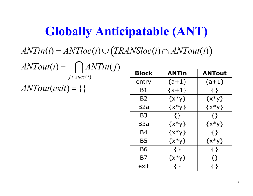### **Globally Anticipatable (ANT)**

 $ANTin(i) = ANTloc(i) \cup (TRANSloc(i) \cap ANTout(i))$ 

| $\textit{ANTout}(i) = \int \textit{ANTin}(j)$ |                 |
|-----------------------------------------------|-----------------|
|                                               | $i \in succ(i)$ |
| $\textit{ANTout}(exit) = \{\}$                |                 |

| <b>Block</b> | <b>ANTin</b> | <b>ANTout</b> |
|--------------|--------------|---------------|
| entry        | $\{a+1\}$    | $\{a+1\}$     |
| B1           | $\{a+1\}$    | $\{ \}$       |
| <b>B2</b>    | $\{x^*y\}$   | $\{x^*y\}$    |
| B2a          | $\{x^*y\}$   | $\{x^*y\}$    |
| B3           | $\{ \}$      | $\{ \}$       |
| B3a          | $\{x*y\}$    | $\{x^*y\}$    |
| B4           | $\{x*y\}$    | $\{ \}$       |
| B5           | $\{x^*y\}$   | $\{x^*y\}$    |
| B6           | $\{ \}$      | $\{ \}$       |
| B7           | $\{x^*y\}$   | $\{ \}$       |
| exit         | $\{ \ \}$    |               |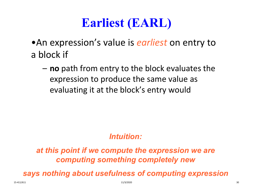# **Earliest (EARL)**

- •An expression's value is *earliest* on entry to a block if
	- **no** path from entry to the block evaluates the expression to produce the same value as evaluating it at the block's entry would

#### *Intuition:*

*at this point if we compute the expression we are computing something completely new*

*says nothing about usefulness of computing expression*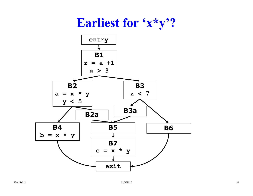

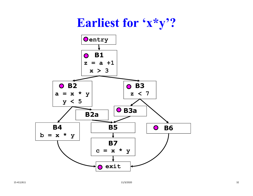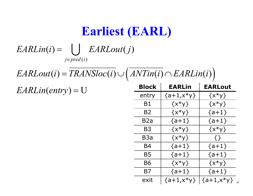# **Earliest (EARL)**

#### $j$  $\in$   $pred(i)$  $EARLout(j)$  $EARLin(i) =$   $\left\{ \right.$  *EARLout*(*j* Ξ  $\bigcup$

 $\left(\overline{ANTin(i)} \cap EARLin(i)\right)$  $EARLout(i) = TRANSloc(i) \cup (ANTin(i) \cap EARLin(i)$ 

 $\textit{EARLin}(entry) = U$ Ξ

| <b>Block</b>                  | <b>EARLin</b> | <b>EARLout</b> |  |
|-------------------------------|---------------|----------------|--|
| entry                         | $\{a+1,x*y\}$ | $\{x^*y\}$     |  |
| Β1                            | $\{x^*y\}$    | $\{x^*y\}$     |  |
| $\{x*y\}$<br><b>B2</b>        |               | $\{a+1\}$      |  |
| $\{a+1\}$<br>B <sub>2</sub> a |               | $\{a+1\}$      |  |
| B3                            | $\{x^*y\}$    | $\{x^*y\}$     |  |
| B3a                           | $\{x^*y\}$    | $\{ \}$        |  |
| B4                            | $\{a+1\}$     | $\{a+1\}$      |  |
| B5                            | $\{a+1\}$     | $\{a+1\}$      |  |
| B6                            | $\{x^*y\}$    | $\{x^*y\}$     |  |
| B7                            | $\{a+1\}$     | $\{a+1\}$      |  |
| exit                          | $\{a+1,x*y\}$ | $\{a+1,x*y\}$  |  |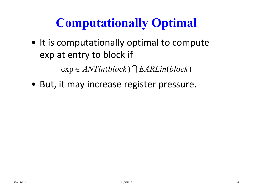# **Computationally Optimal**

• It is computationally optimal to compute exp at entry to block if

 $\exp \in ANTin(block) \cap EARLin(block)$ 

• But, it may increase register pressure.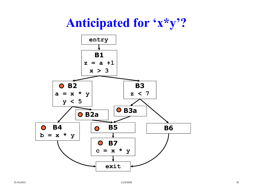

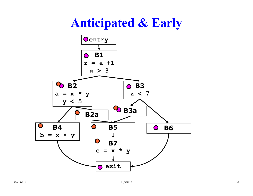### **Anticipated & Early**

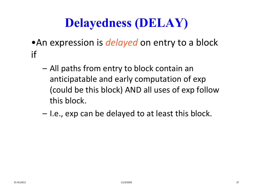# **Delayedness (DELAY)**

- •An expression is *delayed* on entry to a block if
	- All paths from entry to block contain an anticipatable and early computation of exp (could be this block) AND all uses of exp follow this block.
	- –I.e., exp can be delayed to at least this block.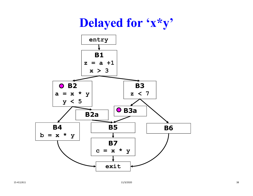

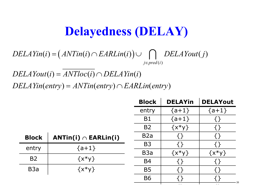# **Delayedness (DELAY)**

 $DELAYin(i) = (ANTin(i) \cap EARLin(i)) \cup \bigcap DELAVout(j)$  $j$  $\in$   $pred(i)$  $\bigcap$ 

 $DELAYout(i) = ANTloc(i) \cap DELAYin(i)$  $DELAYin(entry) = ANTin(entry) \cap EARLin(entry)$ 

|                  |                           | <b>Block</b>     | <b>DELAYin</b> | <b>DELAYout</b>   |
|------------------|---------------------------|------------------|----------------|-------------------|
|                  |                           | entry            | $\{a+1\}$      | $\{a+1\}$         |
|                  |                           | <b>B1</b>        | $\{a+1\}$      |                   |
|                  |                           | <b>B2</b>        | $\{x*y\}$      |                   |
| <b>Block</b>     | $ANTin(i) \cap EARLin(i)$ | B <sub>2</sub> a | $\{ \}$        |                   |
| entry            | $\{a+1\}$                 | B <sub>3</sub>   | { }            |                   |
|                  |                           | B <sub>3</sub> a | $\{x^*y\}$     | $\{x^*y\}$        |
| <b>B2</b>        | $\{x*y\}$                 | <b>B4</b>        | $\{ \}$        |                   |
| B <sub>3</sub> a | $\{x^*y\}$                | <b>B5</b>        | { }            |                   |
|                  |                           | <b>B6</b>        | {        }     | - 39              |
|                  |                           |                  | $\frac{1}{2}$  | $\qquad \qquad -$ |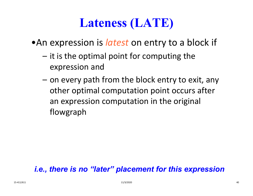# **Lateness (LATE)**

- •An expression is *latest* on entry to a block if
	- it is the optimal point for computing the expression and
	- on every path from the block entry to exit, any other optimal computation point occurs after an expression computation in the original flowgraph

#### *i.e., there is no "later" placement for this expression*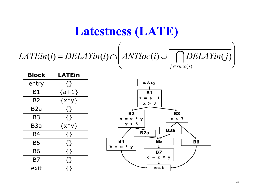#### *LATEin* ( *i* )  $= DELAYin(i) \cap |ANTloc(i) \cup | 1$ DELAYin(j)  $j \in succ(i)$  $\bigcap$  $\left(ANTloc(i) \cup \overline{\bigcap_{j \in succ(i)}DELAYin(j)}\right)$ **Latestness (LATE)**

| <b>Block</b>     | <b>LATEin</b> |                                                    |
|------------------|---------------|----------------------------------------------------|
| entry            | $\{ \}$       | entry                                              |
| <b>B1</b>        | $\{a+1\}$     | <b>B1</b>                                          |
| <b>B2</b>        | $\{x*y\}$     | $a + 1$<br>$\mathbf{z}$<br>$\equiv$<br>x > 3       |
| B <sub>2</sub> a | $\{ \}$       | <b>B2</b><br><b>B3</b>                             |
| <b>B3</b>        | $\{\}$        | $z \leq 7$<br>$x *$<br>y<br>$\mathbf{a}$<br>$=$    |
| B <sub>3</sub> a | $\{x*y\}$     | y < 5<br>B <sub>3</sub> a                          |
| <b>B4</b>        | $\{\}$        | B <sub>2a</sub>                                    |
| <b>B5</b>        | $\{\}$        | <b>B5</b><br><b>B4</b><br><b>B6</b><br>$b = x * y$ |
| <b>B6</b>        | $\{\}$        | <b>B7</b>                                          |
| <b>B7</b>        | {}            | $c = x * y$                                        |
| exit             | {        }    | exit                                               |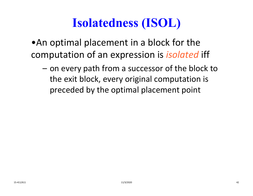## **Isolatedness (ISOL)**

•An optimal placement in a block for the computation of an expression is *isolated* iff

– on every path from a successor of the block to the exit block, every original computation is preceded by the optimal placement point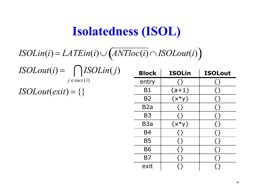#### **Isolatedness (ISOL)**

 $ISOLin(i) = LATEin(i) \cup (ANTloc(i) \cap ISOLout(i))$ 

| $ISOLout(i) = \bigcap ISOLin(j)$ |                 |  |
|----------------------------------|-----------------|--|
|                                  | $j \in succ(i)$ |  |

*ISOLout*(*exit*) =  $\{\}$ 

| <b>Block</b>     | <b>ISOLin</b> | <b>ISOLout</b> |
|------------------|---------------|----------------|
| entry            | $\{ \}$       | $\{\}$         |
| Β1               | $\{a+1\}$     | $\{\}$         |
| B2               | $\{x^*y\}$    | $\{\}$         |
| B <sub>2</sub> a | $\{ \}$       | $\{\}$         |
| B3               | $\{ \}$       | $\{\}$         |
| B3a              | $\{x^*y\}$    | $\{\}$         |
| B4               | {}            | $\{\}$         |
| <b>B5</b>        | $\{\}$        | $\{\}$         |
| Β6               | $\{\}$        | $\{\}$         |
| B7               | { }           | $\{\}$         |
| exit             |               |                |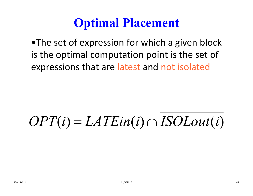## **Optimal Placement**

•The set of expression for which a given block is the optimal computation point is the set of expressions that are latest and not isolated

#### *OPT* ( *i* )  $= LATEin(i)$  $\bigcap$ *<i>ISOLout*(*i*)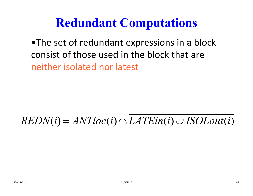### **Redundant Computations**

•The set of redundant expressions in a block consist of those used in the block that are neither isolated nor latest

#### *REDN* ( *i* )  $= ANTloc(i) \cap LATEin(i) \cup ISOLout(i)$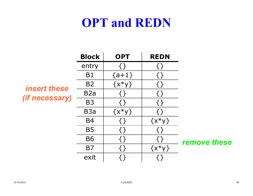### **OPT and REDN**

|                       | <b>Block</b>     | <b>OPT</b> | <b>REDN</b> |              |
|-----------------------|------------------|------------|-------------|--------------|
|                       | entry            |            | { }         |              |
|                       | B <sub>1</sub>   | $\{a+1\}$  | {        }  |              |
| <i>insert these</i>   | <b>B2</b>        | $\{x*y\}$  | { }         |              |
|                       | B <sub>2</sub> a |            | $\{ \}$     |              |
| <i>(if necessary)</i> | <b>B3</b>        | { }        | { }         |              |
|                       | B <sub>3</sub> a | $\{x*y\}$  | { }         |              |
|                       | <b>B4</b>        |            | $\{x*y\}$   |              |
|                       | <b>B5</b>        | $\{\}$     | { }         |              |
|                       | <b>B6</b>        | $\{\}$     | { }         | remove these |
|                       | <b>B7</b>        | $\{\}$     | $\{x*y\}$   |              |
|                       | exit             |            |             |              |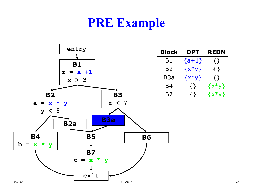